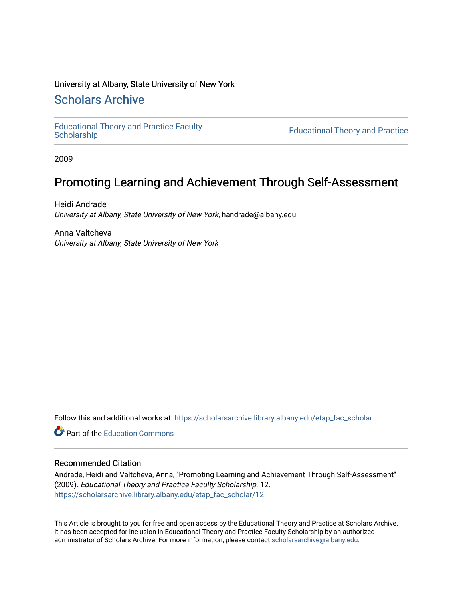# University at Albany, State University of New York

# [Scholars Archive](https://scholarsarchive.library.albany.edu/)

[Educational Theory and Practice Faculty](https://scholarsarchive.library.albany.edu/etap_fac_scholar) 

**Educational Theory and Practice** 

2009

# Promoting Learning and Achievement Through Self-Assessment

Heidi Andrade University at Albany, State University of New York, handrade@albany.edu

Anna Valtcheva University at Albany, State University of New York

Follow this and additional works at: [https://scholarsarchive.library.albany.edu/etap\\_fac\\_scholar](https://scholarsarchive.library.albany.edu/etap_fac_scholar?utm_source=scholarsarchive.library.albany.edu%2Fetap_fac_scholar%2F12&utm_medium=PDF&utm_campaign=PDFCoverPages) 

**C** Part of the [Education Commons](http://network.bepress.com/hgg/discipline/784?utm_source=scholarsarchive.library.albany.edu%2Fetap_fac_scholar%2F12&utm_medium=PDF&utm_campaign=PDFCoverPages)

## Recommended Citation

Andrade, Heidi and Valtcheva, Anna, "Promoting Learning and Achievement Through Self-Assessment" (2009). Educational Theory and Practice Faculty Scholarship. 12. [https://scholarsarchive.library.albany.edu/etap\\_fac\\_scholar/12](https://scholarsarchive.library.albany.edu/etap_fac_scholar/12?utm_source=scholarsarchive.library.albany.edu%2Fetap_fac_scholar%2F12&utm_medium=PDF&utm_campaign=PDFCoverPages)

This Article is brought to you for free and open access by the Educational Theory and Practice at Scholars Archive. It has been accepted for inclusion in Educational Theory and Practice Faculty Scholarship by an authorized administrator of Scholars Archive. For more information, please contact [scholarsarchive@albany.edu.](mailto:scholarsarchive@albany.edu)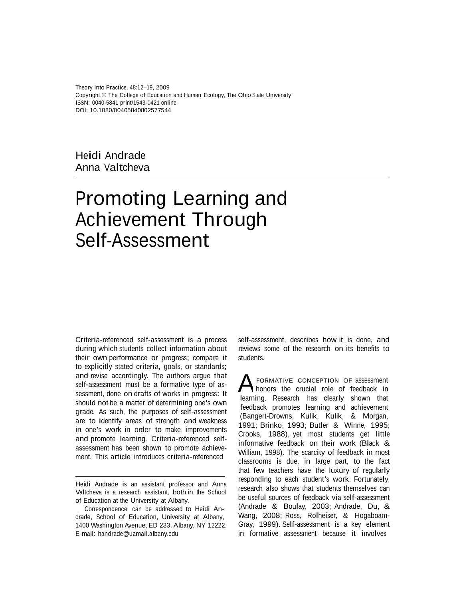Theory Into Practice, 48:12–19, 2009 Copyright © The College of Education and Human Ecology, The Ohio State University ISSN: 0040-5841 print/1543-0421 online DOI: 10.1080/00405840802577544

Heidi Andrade Anna Valtcheva

# Promoting Learning and Achievement Through Self-Assessment

Criteria-referenced self-assessment is a process during which students collect information about their own performance or progress; compare it to explicitly stated criteria, goals, or standards; and revise accordingly. The authors argue that self-assessment must be a formative type of assessment, done on drafts of works in progress: It should not be a matter of determining one's own grade. As such, the purposes of self-assessment are to identify areas of strength and weakness in one's work in order to make improvements and promote learning. Criteria-referenced selfassessment has been shown to promote achievement. This article introduces criteria-referenced

self-assessment, describes how it is done, and reviews some of the research on its benefits to students.

**A** FORMATIVE CONCEPTION OF assessment<br>honors the crucial role of feedback in honors the crucial role of feedback in learning. Research has clearly shown that feedback promotes learning and achievement (Bangert-Drowns, Kulik, Kulik, & Morgan, 1991; Brinko, 1993; Butler & Winne, 1995; Crooks, 1988), yet most students get little informative feedback on their work (Black & Wiliam, 1998). The scarcity of feedback in most classrooms is due, in large part, to the fact that few teachers have the luxury of regularly responding to each student's work. Fortunately, research also shows that students themselves can be useful sources of feedback via self-assessment (Andrade & Boulay, 2003; Andrade, Du, & Wang, 2008; Ross, Rolheiser, & Hogaboam-Gray, 1999). Self-assessment is a key element in formative assessment because it involves

Heidi Andrade is an assistant professor and Anna Valtcheva is a research assistant, both in the School of Education at the University at Albany.

Correspondence can be addressed to Heidi Andrade, School of Education, University at Albany, 1400 Washington Avenue, ED 233, Albany, NY 12222. E-mail: handrade@uamail.albany.edu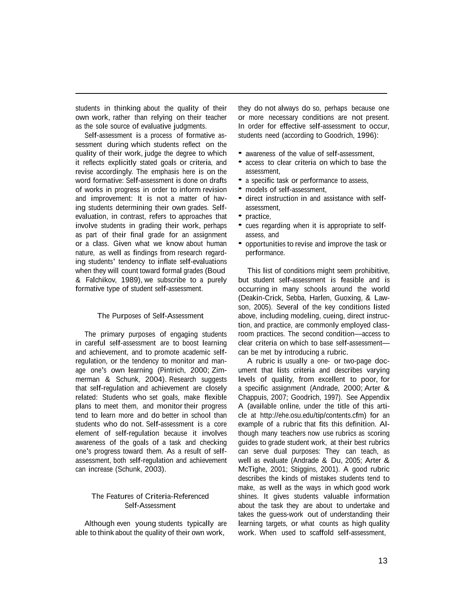students in thinking about the quality of their own work, rather than relying on their teacher as the sole source of evaluative judgments.

Self-assessment is a process of formative assessment during which students reflect on the quality of their work, judge the degree to which it reflects explicitly stated goals or criteria, and revise accordingly. The emphasis here is on the word formative: Self-assessment is done on drafts of works in progress in order to inform revision and improvement: It is not a matter of having students determining their own grades. Selfevaluation, in contrast, refers to approaches that involve students in grading their work, perhaps as part of their final grade for an assignment or a class. Given what we know about human nature, as well as findings from research regarding students' tendency to inflate self-evaluations when they will count toward formal grades (Boud & Falchikov, 1989), we subscribe to a purely formative type of student self-assessment.

#### The Purposes of Self-Assessment

The primary purposes of engaging students in careful self-assessment are to boost learning and achievement, and to promote academic selfregulation, or the tendency to monitor and manage one's own learning (Pintrich, 2000; Zimmerman & Schunk, 2004). Research suggests that self-regulation and achievement are closely related: Students who set goals, make flexible plans to meet them, and monitor their progress tend to learn more and do better in school than students who do not. Self-assessment is a core element of self-regulation because it involves awareness of the goals of a task and checking one's progress toward them. As a result of selfassessment, both self-regulation and achievement can increase (Schunk, 2003).

#### The Features of Criteria-Referenced Self-Assessment

Although even young students typically are able to think about the quality of their own work,

they do not always do so, perhaps because one or more necessary conditions are not present. In order for effective self-assessment to occur, students need (according to Goodrich, 1996):

- awareness of the value of self-assessment,
- access to clear criteria on which to base the assessment,
- a specific task or performance to assess,
- models of self-assessment.
- direct instruction in and assistance with selfassessment,
- practice,
- cues regarding when it is appropriate to selfassess, and
- opportunities to revise and improve the task or performance.

This list of conditions might seem prohibitive, but student self-assessment is feasible and is occurring in many schools around the world (Deakin-Crick, Sebba, Harlen, Guoxing, & Lawson, 2005). Several of the key conditions listed above, including modeling, cueing, direct instruction, and practice, are commonly employed classroom practices. The second condition—access to clear criteria on which to base self-assessment can be met by introducing a rubric.

A rubric is usually a one- or two-page document that lists criteria and describes varying levels of quality, from excellent to poor, for a specific assignment (Andrade, 2000; Arter & Chappuis, 2007; Goodrich, 1997). See Appendix A (available online, under the title of this article at http://ehe.osu.edu/tip/contents.cfm) for an example of a rubric that fits this definition. Although many teachers now use rubrics as scoring guides to grade student work, at their best rubrics can serve dual purposes: They can teach, as well as evaluate (Andrade & Du, 2005; Arter & McTighe, 2001; Stiggins, 2001). A good rubric describes the kinds of mistakes students tend to make, as well as the ways in which good work shines. It gives students valuable information about the task they are about to undertake and takes the guess-work out of understanding their learning targets, or what counts as high quality work. When used to scaffold self-assessment,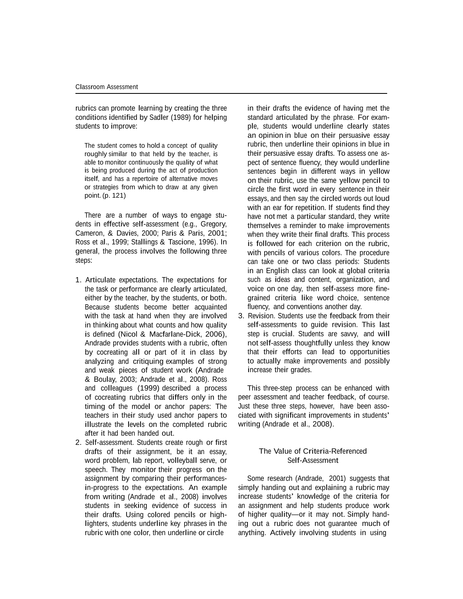rubrics can promote learning by creating the three conditions identified by Sadler (1989) for helping students to improve:

The student comes to hold a concept of quality roughly similar to that held by the teacher, is able to monitor continuously the quality of what is being produced during the act of production itself, and has a repertoire of alternative moves or strategies from which to draw at any given point. (p. 121)

There are a number of ways to engage students in effective self-assessment (e.g., Gregory, Cameron, & Davies, 2000; Paris & Paris, 2001; Ross et al., 1999; Stallings & Tascione, 1996). In general, the process involves the following three steps:

- 1. Articulate expectations. The expectations for the task or performance are clearly articulated, either by the teacher, by the students, or both. Because students become better acquainted with the task at hand when they are involved in thinking about what counts and how quality is defined (Nicol & Macfarlane-Dick, 2006), Andrade provides students with a rubric, often by cocreating all or part of it in class by analyzing and critiquing examples of strong and weak pieces of student work (Andrade & Boulay, 2003; Andrade et al., 2008). Ross and colleagues (1999) described a process of cocreating rubrics that differs only in the timing of the model or anchor papers: The teachers in their study used anchor papers to illustrate the levels on the completed rubric after it had been handed out.
- 2. Self-assessment. Students create rough or first drafts of their assignment, be it an essay, word problem, lab report, volleyball serve, or speech. They monitor their progress on the assignment by comparing their performancesin-progress to the expectations. An example from writing (Andrade et al., 2008) involves students in seeking evidence of success in their drafts. Using colored pencils or highlighters, students underline key phrases in the rubric with one color, then underline or circle

in their drafts the evidence of having met the standard articulated by the phrase. For example, students would underline clearly states an opinion in blue on their persuasive essay rubric, then underline their opinions in blue in their persuasive essay drafts. To assess one aspect of sentence fluency, they would underline sentences begin in different ways in yellow on their rubric, use the same yellow pencil to circle the first word in every sentence in their essays, and then say the circled words out loud with an ear for repetition. If students find they have not met a particular standard, they write themselves a reminder to make improvements when they write their final drafts. This process is followed for each criterion on the rubric, with pencils of various colors. The procedure can take one or two class periods: Students in an English class can look at global criteria such as ideas and content, organization, and voice on one day, then self-assess more finegrained criteria like word choice, sentence fluency, and conventions another day.

3. Revision. Students use the feedback from their self-assessments to guide revision. This last step is crucial. Students are savvy, and will not self-assess thoughtfully unless they know that their efforts can lead to opportunities to actually make improvements and possibly increase their grades.

This three-step process can be enhanced with peer assessment and teacher feedback, of course. Just these three steps, however, have been associated with significant improvements in students' writing (Andrade et al., 2008).

#### The Value of Criteria-Referenced Self-Assessment

Some research (Andrade, 2001) suggests that simply handing out and explaining a rubric may increase students' knowledge of the criteria for an assignment and help students produce work of higher quality—or it may not. Simply handing out a rubric does not guarantee much of anything. Actively involving students in using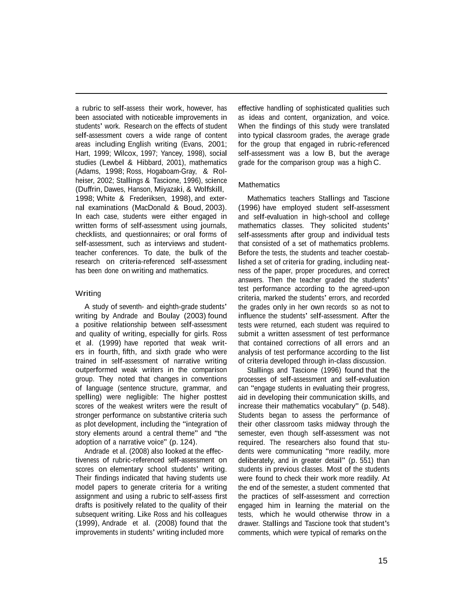a rubric to self-assess their work, however, has been associated with noticeable improvements in students' work. Research on the effects of student self-assessment covers a wide range of content areas including English writing (Evans, 2001; Hart, 1999; Wilcox, 1997; Yancey, 1998), social studies (Lewbel & Hibbard, 2001), mathematics (Adams, 1998; Ross, Hogaboam-Gray, & Rolheiser, 2002; Stallings & Tascione, 1996), science (Duffrin, Dawes, Hanson, Miyazaki, & Wolfskill, 1998; White & Frederiksen, 1998), and external examinations (MacDonald & Boud, 2003). In each case, students were either engaged in written forms of self-assessment using journals, checklists, and questionnaires; or oral forms of self-assessment, such as interviews and studentteacher conferences. To date, the bulk of the research on criteria-referenced self-assessment has been done on writing and mathematics.

## **Writing**

A study of seventh- and eighth-grade students' writing by Andrade and Boulay (2003) found a positive relationship between self-assessment and quality of writing, especially for girls. Ross et al. (1999) have reported that weak writers in fourth, fifth, and sixth grade who were trained in self-assessment of narrative writing outperformed weak writers in the comparison group. They noted that changes in conventions of language (sentence structure, grammar, and spelling) were negligible: The higher posttest scores of the weakest writers were the result of stronger performance on substantive criteria such as plot development, including the "integration of story elements around a central theme" and "the adoption of a narrative voice" (p. 124).

Andrade et al. (2008) also looked at the effectiveness of rubric-referenced self-assessment on scores on elementary school students' writing. Their findings indicated that having students use model papers to generate criteria for a writing assignment and using a rubric to self-assess first drafts is positively related to the quality of their subsequent writing. Like Ross and his colleagues (1999), Andrade et al. (2008) found that the improvements in students' writing included more

effective handling of sophisticated qualities such as ideas and content, organization, and voice. When the findings of this study were translated into typical classroom grades, the average grade for the group that engaged in rubric-referenced self-assessment was a low B, but the average grade for the comparison group was a high C.

### **Mathematics**

Mathematics teachers Stallings and Tascione (1996) have employed student self-assessment and self-evaluation in high-school and college mathematics classes. They solicited students' self-assessments after group and individual tests that consisted of a set of mathematics problems. Before the tests, the students and teacher coestablished a set of criteria for grading, including neatness of the paper, proper procedures, and correct answers. Then the teacher graded the students' test performance according to the agreed-upon criteria, marked the students' errors, and recorded the grades only in her own records so as not to influence the students' self-assessment. After the tests were returned, each student was required to submit a written assessment of test performance that contained corrections of all errors and an analysis of test performance according to the list of criteria developed through in-class discussion.

Stallings and Tascione (1996) found that the processes of self-assessment and self-evaluation can "engage students in evaluating their progress, aid in developing their communication skills, and increase their mathematics vocabulary" (p. 548). Students began to assess the performance of their other classroom tasks midway through the semester, even though self-assessment was not required. The researchers also found that students were communicating "more readily, more deliberately, and in greater detail" (p. 551) than students in previous classes. Most of the students were found to check their work more readily. At the end of the semester, a student commented that the practices of self-assessment and correction engaged him in learning the material on the tests, which he would otherwise throw in a drawer. Stallings and Tascione took that student's comments, which were typical of remarks on the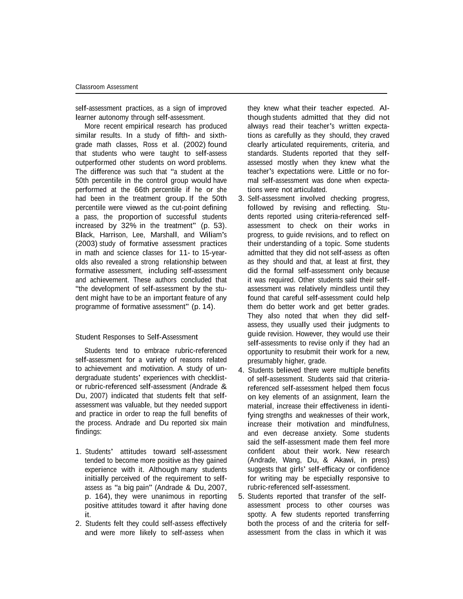self-assessment practices, as a sign of improved learner autonomy through self-assessment.

More recent empirical research has produced similar results. In a study of fifth- and sixthgrade math classes, Ross et al. (2002) found that students who were taught to self-assess outperformed other students on word problems. The difference was such that "a student at the 50th percentile in the control group would have performed at the 66th percentile if he or she had been in the treatment group. If the 50th percentile were viewed as the cut-point defining a pass, the proportion of successful students increased by 32% in the treatment" (p. 53). Black, Harrison, Lee, Marshall, and Wiliam's (2003) study of formative assessment practices in math and science classes for 11- to 15-yearolds also revealed a strong relationship between formative assessment, including self-assessment and achievement. These authors concluded that "the development of self-assessment by the student might have to be an important feature of any programme of formative assessment" (p. 14).

#### Student Responses to Self-Assessment

Students tend to embrace rubric-referenced self-assessment for a variety of reasons related to achievement and motivation. A study of undergraduate students' experiences with checklistor rubric-referenced self-assessment (Andrade & Du, 2007) indicated that students felt that selfassessment was valuable, but they needed support and practice in order to reap the full benefits of the process. Andrade and Du reported six main findings:

- 1. Students' attitudes toward self-assessment tended to become more positive as they gained experience with it. Although many students initially perceived of the requirement to selfassess as "a big pain" (Andrade & Du, 2007, p. 164), they were unanimous in reporting positive attitudes toward it after having done it.
- 2. Students felt they could self-assess effectively and were more likely to self-assess when

they knew what their teacher expected. Although students admitted that they did not always read their teacher's written expectations as carefully as they should, they craved clearly articulated requirements, criteria, and standards. Students reported that they selfassessed mostly when they knew what the teacher's expectations were. Little or no formal self-assessment was done when expectations were not articulated.

- 3. Self-assessment involved checking progress, followed by revising and reflecting. Students reported using criteria-referenced selfassessment to check on their works in progress, to guide revisions, and to reflect on their understanding of a topic. Some students admitted that they did not self-assess as often as they should and that, at least at first, they did the formal self-assessment only because it was required. Other students said their selfassessment was relatively mindless until they found that careful self-assessment could help them do better work and get better grades. They also noted that when they did selfassess, they usually used their judgments to guide revision. However, they would use their self-assessments to revise only if they had an opportunity to resubmit their work for a new, presumably higher, grade.
- 4. Students believed there were multiple benefits of self-assessment. Students said that criteriareferenced self-assessment helped them focus on key elements of an assignment, learn the material, increase their effectiveness in identifying strengths and weaknesses of their work, increase their motivation and mindfulness, and even decrease anxiety. Some students said the self-assessment made them feel more confident about their work. New research (Andrade, Wang, Du, & Akawi, in press) suggests that girls' self-efficacy or confidence for writing may be especially responsive to rubric-referenced self-assessment.
- 5. Students reported that transfer of the selfassessment process to other courses was spotty. A few students reported transferring both the process of and the criteria for selfassessment from the class in which it was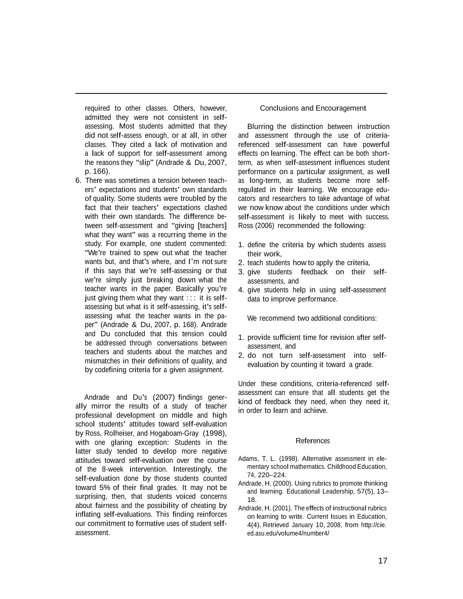required to other classes. Others, however, admitted they were not consistent in selfassessing. Most students admitted that they did not self-assess enough, or at all, in other classes. They cited a lack of motivation and a lack of support for self-assessment among the reasons they "slip" (Andrade & Du, 2007, p. 166).

6. There was sometimes a tension between teachers' expectations and students' own standards of quality. Some students were troubled by the fact that their teachers' expectations clashed with their own standards. The difference between self-assessment and "giving [teachers] what they want" was a recurring theme in the study. For example, one student commented: "We're trained to spew out what the teacher wants but, and that's where, and I'm not sure if this says that we're self-assessing or that we're simply just breaking down what the teacher wants in the paper. Basically you're just giving them what they want  $\cdots$  it is selfassessing but what is it self-assessing, it's selfassessing what the teacher wants in the paper" (Andrade & Du, 2007, p. 168). Andrade and Du concluded that this tension could be addressed through conversations between teachers and students about the matches and mismatches in their definitions of quality, and by codefining criteria for a given assignment.

Andrade and Du's (2007) findings generally mirror the results of a study of teacher professional development on middle and high school students' attitudes toward self-evaluation by Ross, Rolheiser, and Hogaboam-Gray (1998), with one glaring exception: Students in the latter study tended to develop more negative attitudes toward self-evaluation over the course of the 8-week intervention. Interestingly, the self-evaluation done by those students counted toward 5% of their final grades. It may not be surprising, then, that students voiced concerns about fairness and the possibility of cheating by inflating self-evaluations. This finding reinforces our commitment to formative uses of student selfassessment.

#### Conclusions and Encouragement

Blurring the distinction between instruction and assessment through the use of criteriareferenced self-assessment can have powerful effects on learning. The effect can be both shortterm, as when self-assessment influences student performance on a particular assignment, as well as long-term, as students become more selfregulated in their learning. We encourage educators and researchers to take advantage of what we now know about the conditions under which self-assessment is likely to meet with success. Ross (2006) recommended the following:

- 1. define the criteria by which students assess their work,
- 2. teach students how to apply the criteria,
- 3. give students feedback on their selfassessments, and
- 4. give students help in using self-assessment data to improve performance.

We recommend two additional conditions:

- 1. provide sufficient time for revision after selfassessment, and
- 2. do not turn self-assessment into selfevaluation by counting it toward a grade.

Under these conditions, criteria-referenced selfassessment can ensure that all students get the kind of feedback they need, when they need it, in order to learn and achieve.

#### References

- Adams, T. L. (1998). Alternative assessment in elementary school mathematics. Childhood Education, 74, 220–224.
- Andrade, H. (2000). Using rubrics to promote thinking and learning. Educational Leadership, 57(5), 13– 18.
- Andrade, H. (2001). The effects of instructional rubrics on learning to write. Current Issues in Education, 4(4). Retrieved January 10, 2008, from http://cie. ed.asu.edu/volume4/number4/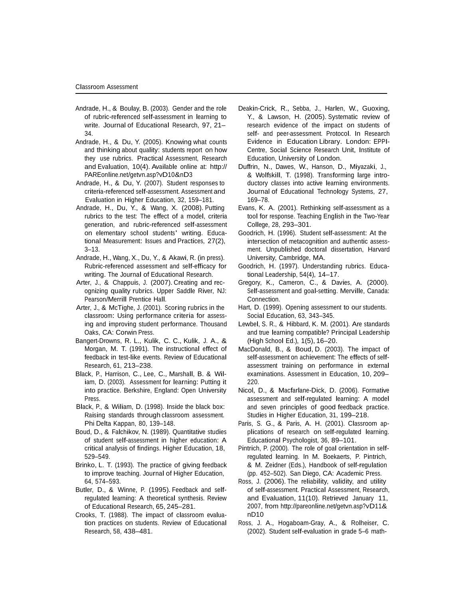- Andrade, H., & Boulay, B. (2003). Gender and the role of rubric-referenced self-assessment in learning to write. Journal of Educational Research, 97, 21– 34.
- Andrade, H., & Du, Y. (2005). Knowing what counts and thinking about quality: students report on how they use rubrics. Practical Assessment, Research and Evaluation, 10(4). Available online at: http:// PAREonline.net/getvn.asp?vD10&nD3
- Andrade, H., & Du, Y. (2007). Student responses to criteria-referenced self-assessment. Assessment and Evaluation in Higher Education, 32, 159–181.
- Andrade, H., Du, Y., & Wang, X. (2008). Putting rubrics to the test: The effect of a model, criteria generation, and rubric-referenced self-assessment on elementary school students' writing. Educational Measurement: Issues and Practices, 27(2), 3–13.
- Andrade, H., Wang, X., Du, Y., & Akawi, R. (in press). Rubric-referenced assessment and self-efficacy for writing. The Journal of Educational Research.
- Arter, J., & Chappuis, J. (2007). Creating and recognizing quality rubrics. Upper Saddle River, NJ: Pearson/Merrill Prentice Hall.
- Arter, J., & McTighe, J. (2001). Scoring rubrics in the classroom: Using performance criteria for assessing and improving student performance. Thousand Oaks, CA: Corwin Press.
- Bangert-Drowns, R. L., Kulik, C. C., Kulik, J. A., & Morgan, M. T. (1991). The instructional effect of feedback in test-like events. Review of Educational Research, 61, 213–238.
- Black, P., Harrison, C., Lee, C., Marshall, B. & Wiliam, D. (2003). Assessment for learning: Putting it into practice. Berkshire, England: Open University Press.
- Black, P., & Wiliam, D. (1998). Inside the black box: Raising standards through classroom assessment. Phi Delta Kappan, 80, 139–148.
- Boud, D., & Falchikov, N. (1989). Quantitative studies of student self-assessment in higher education: A critical analysis of findings. Higher Education, 18, 529–549.
- Brinko, L. T. (1993). The practice of giving feedback to improve teaching. Journal of Higher Education, 64, 574–593.
- Butler, D., & Winne, P. (1995). Feedback and selfregulated learning: A theoretical synthesis. Review of Educational Research, 65, 245–281.
- Crooks, T. (1988). The impact of classroom evaluation practices on students. Review of Educational Research, 58, 438–481.
- Deakin-Crick, R., Sebba, J., Harlen, W., Guoxing, Y., & Lawson, H. (2005). Systematic review of research evidence of the impact on students of self- and peer-assessment. Protocol. In Research Evidence in Education Library. London: EPPI-Centre, Social Science Research Unit, Institute of Education, University of London.
- Duffrin, N., Dawes, W., Hanson, D., Miyazaki, J., & Wolfskill, T. (1998). Transforming large introductory classes into active learning environments. Journal of Educational Technology Systems, 27, 169–78.
- Evans, K. A. (2001). Rethinking self-assessment as a tool for response. Teaching English in the Two-Year College, 28, 293–301.
- Goodrich, H. (1996). Student self-assessment: At the intersection of metacognition and authentic assessment. Unpublished doctoral dissertation, Harvard University, Cambridge, MA.
- Goodrich, H. (1997). Understanding rubrics. Educational Leadership, 54(4), 14–17.
- Gregory, K., Cameron, C., & Davies, A. (2000). Self-assessment and goal-setting. Merville, Canada: Connection.
- Hart, D. (1999). Opening assessment to our students. Social Education, 63, 343–345.
- Lewbel, S. R., & Hibbard, K. M. (2001). Are standards and true learning compatible? Principal Leadership (High School Ed.), 1(5), 16–20.
- MacDonald, B., & Boud, D. (2003). The impact of self-assessment on achievement: The effects of selfassessment training on performance in external examinations. Assessment in Education, 10, 209– 220.
- Nicol, D., & Macfarlane-Dick, D. (2006). Formative assessment and self-regulated learning: A model and seven principles of good feedback practice. Studies in Higher Education, 31, 199–218.
- Paris, S. G., & Paris, A. H. (2001). Classroom applications of research on self-regulated learning. Educational Psychologist, 36, 89–101.
- Pintrich, P. (2000). The role of goal orientation in selfregulated learning. In M. Boekaerts, P. Pintrich, & M. Zeidner (Eds.), Handbook of self-regulation (pp. 452–502). San Diego, CA: Academic Press.
- Ross, J. (2006). The reliability, validity, and utility of self-assessment. Practical Assessment, Research, and Evaluation, 11(10). Retrieved January 11, 2007, from http://pareonline.net/getvn.asp?vD11& nD10
- Ross, J. A., Hogaboam-Gray, A., & Rolheiser, C. (2002). Student self-evaluation in grade 5–6 math-